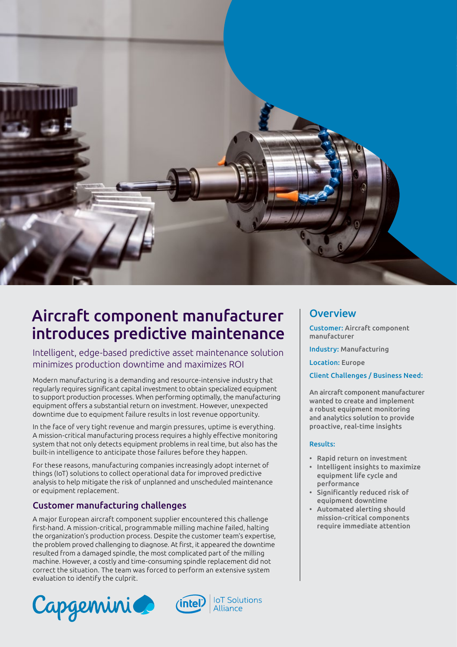

# Aircraft component manufacturer introduces predictive maintenance

Intelligent, edge-based predictive asset maintenance solution minimizes production downtime and maximizes ROI

Modern manufacturing is a demanding and resource-intensive industry that regularly requires significant capital investment to obtain specialized equipment to support production processes. When performing optimally, the manufacturing equipment offers a substantial return on investment. However, unexpected downtime due to equipment failure results in lost revenue opportunity.

In the face of very tight revenue and margin pressures, uptime is everything. A mission-critical manufacturing process requires a highly effective monitoring system that not only detects equipment problems in real time, but also has the built-in intelligence to anticipate those failures before they happen.

For these reasons, manufacturing companies increasingly adopt internet of things (IoT) solutions to collect operational data for improved predictive analysis to help mitigate the risk of unplanned and unscheduled maintenance or equipment replacement.

## Customer manufacturing challenges

A major European aircraft component supplier encountered this challenge first-hand. A mission-critical, programmable milling machine failed, halting the organization's production process. Despite the customer team's expertise, the problem proved challenging to diagnose. At first, it appeared the downtime resulted from a damaged spindle, the most complicated part of the milling machine. However, a costly and time-consuming spindle replacement did not correct the situation. The team was forced to perform an extensive system evaluation to identify the culprit.







## **Overview**

Customer: Aircraft component manufacturer

Industry: Manufacturing

Location: Europe

Client Challenges / Business Need:

An aircraft component manufacturer wanted to create and implement a robust equipment monitoring and analytics solution to provide proactive, real-time insights

#### Results:

- Rapid return on investment
- Intelligent insights to maximize equipment life cycle and performance
- Significantly reduced risk of equipment downtime
- Automated alerting should mission-critical components require immediate attention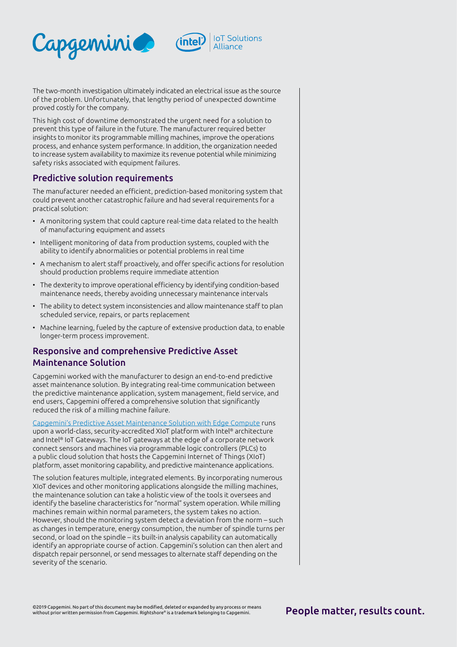



The two-month investigation ultimately indicated an electrical issue as the source of the problem. Unfortunately, that lengthy period of unexpected downtime proved costly for the company.

This high cost of downtime demonstrated the urgent need for a solution to prevent this type of failure in the future. The manufacturer required better insights to monitor its programmable milling machines, improve the operations process, and enhance system performance. In addition, the organization needed to increase system availability to maximize its revenue potential while minimizing safety risks associated with equipment failures.

#### Predictive solution requirements

The manufacturer needed an efficient, prediction-based monitoring system that could prevent another catastrophic failure and had several requirements for a practical solution:

- A monitoring system that could capture real-time data related to the health of manufacturing equipment and assets
- Intelligent monitoring of data from production systems, coupled with the ability to identify abnormalities or potential problems in real time
- A mechanism to alert staff proactively, and offer specific actions for resolution should production problems require immediate attention
- The dexterity to improve operational efficiency by identifying condition-based maintenance needs, thereby avoiding unnecessary maintenance intervals
- The ability to detect system inconsistencies and allow maintenance staff to plan scheduled service, repairs, or parts replacement
- Machine learning, fueled by the capture of extensive production data, to enable longer-term process improvement.

## Responsive and comprehensive Predictive Asset Maintenance Solution

Capgemini worked with the manufacturer to design an end-to-end predictive asset maintenance solution. By integrating real-time communication between the predictive maintenance application, system management, field service, and end users, Capgemini offered a comprehensive solution that significantly reduced the risk of a milling machine failure.

[Capgemini's Predictive Asset Maintenance Solution with Edge Compute](https://www.capgemini.com/resources/predictive-asset-maintenance-with-edge-compute/) runs upon a world-class, security-accredited XIoT platform with Intel® architecture and Intel® IoT Gateways. The IoT gateways at the edge of a corporate network connect sensors and machines via programmable logic controllers (PLCs) to a public cloud solution that hosts the Capgemini Internet of Things (XIoT) platform, asset monitoring capability, and predictive maintenance applications.

The solution features multiple, integrated elements. By incorporating numerous XIoT devices and other monitoring applications alongside the milling machines, the maintenance solution can take a holistic view of the tools it oversees and identify the baseline characteristics for "normal" system operation. While milling machines remain within normal parameters, the system takes no action. However, should the monitoring system detect a deviation from the norm – such as changes in temperature, energy consumption, the number of spindle turns per second, or load on the spindle – its built-in analysis capability can automatically identify an appropriate course of action. Capgemini's solution can then alert and dispatch repair personnel, or send messages to alternate staff depending on the severity of the scenario.